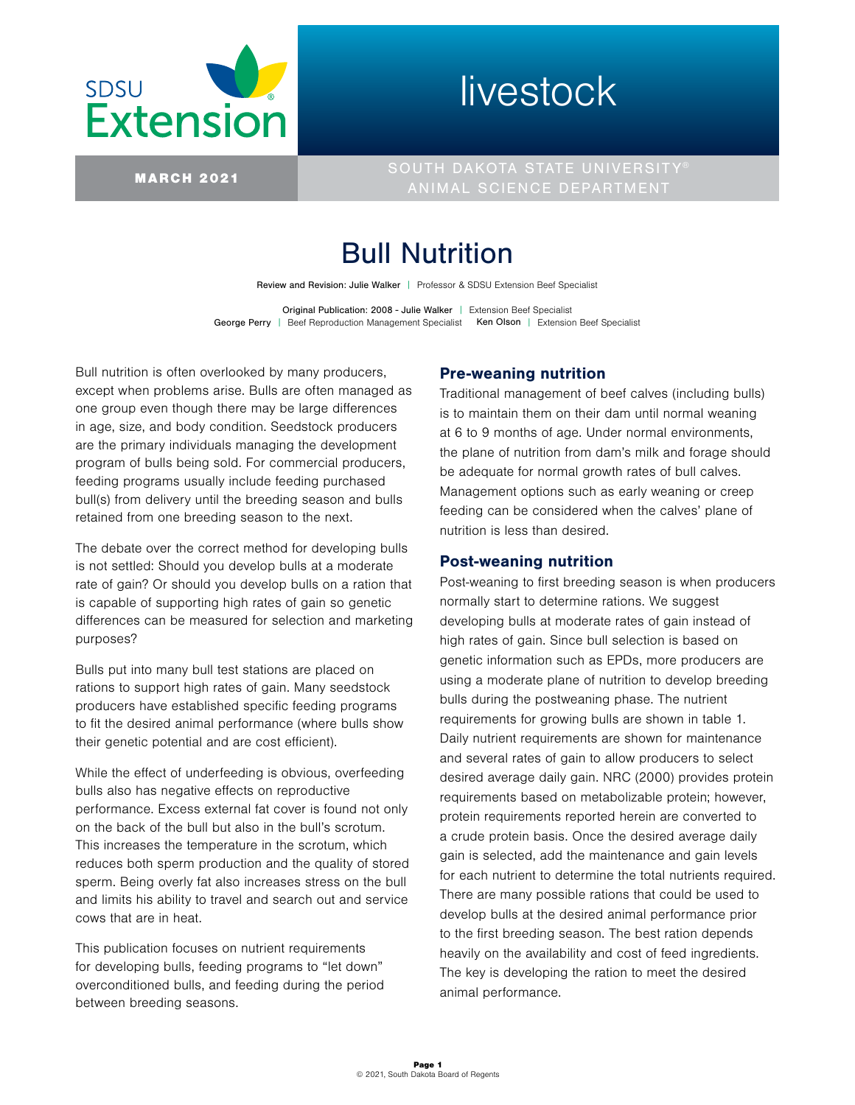

# livestock

MARCH 2021 SOUTH DAKOTA STATE UNIVERSITY® ANIMAL SCIENCE DEPARTMENT

# Bull Nutrition

Review and Revision: Julie Walker | Professor & SDSU Extension Beef Specialist

Original Publication: 2008 - Julie Walker | Extension Beef Specialist George Perry | Beef Reproduction Management Specialist Ken Olson | Extension Beef Specialist

Bull nutrition is often overlooked by many producers, except when problems arise. Bulls are often managed as one group even though there may be large differences in age, size, and body condition. Seedstock producers are the primary individuals managing the development program of bulls being sold. For commercial producers, feeding programs usually include feeding purchased bull(s) from delivery until the breeding season and bulls retained from one breeding season to the next.

The debate over the correct method for developing bulls is not settled: Should you develop bulls at a moderate rate of gain? Or should you develop bulls on a ration that is capable of supporting high rates of gain so genetic differences can be measured for selection and marketing purposes?

Bulls put into many bull test stations are placed on rations to support high rates of gain. Many seedstock producers have established specific feeding programs to fit the desired animal performance (where bulls show their genetic potential and are cost efficient).

While the effect of underfeeding is obvious, overfeeding bulls also has negative effects on reproductive performance. Excess external fat cover is found not only on the back of the bull but also in the bull's scrotum. This increases the temperature in the scrotum, which reduces both sperm production and the quality of stored sperm. Being overly fat also increases stress on the bull and limits his ability to travel and search out and service cows that are in heat.

This publication focuses on nutrient requirements for developing bulls, feeding programs to "let down" overconditioned bulls, and feeding during the period between breeding seasons.

## Pre-weaning nutrition

Traditional management of beef calves (including bulls) is to maintain them on their dam until normal weaning at 6 to 9 months of age. Under normal environments, the plane of nutrition from dam's milk and forage should be adequate for normal growth rates of bull calves. Management options such as early weaning or creep feeding can be considered when the calves' plane of nutrition is less than desired.

## Post-weaning nutrition

Post-weaning to first breeding season is when producers normally start to determine rations. We suggest developing bulls at moderate rates of gain instead of high rates of gain. Since bull selection is based on genetic information such as EPDs, more producers are using a moderate plane of nutrition to develop breeding bulls during the postweaning phase. The nutrient requirements for growing bulls are shown in table 1. Daily nutrient requirements are shown for maintenance and several rates of gain to allow producers to select desired average daily gain. NRC (2000) provides protein requirements based on metabolizable protein; however, protein requirements reported herein are converted to a crude protein basis. Once the desired average daily gain is selected, add the maintenance and gain levels for each nutrient to determine the total nutrients required. There are many possible rations that could be used to develop bulls at the desired animal performance prior to the first breeding season. The best ration depends heavily on the availability and cost of feed ingredients. The key is developing the ration to meet the desired animal performance.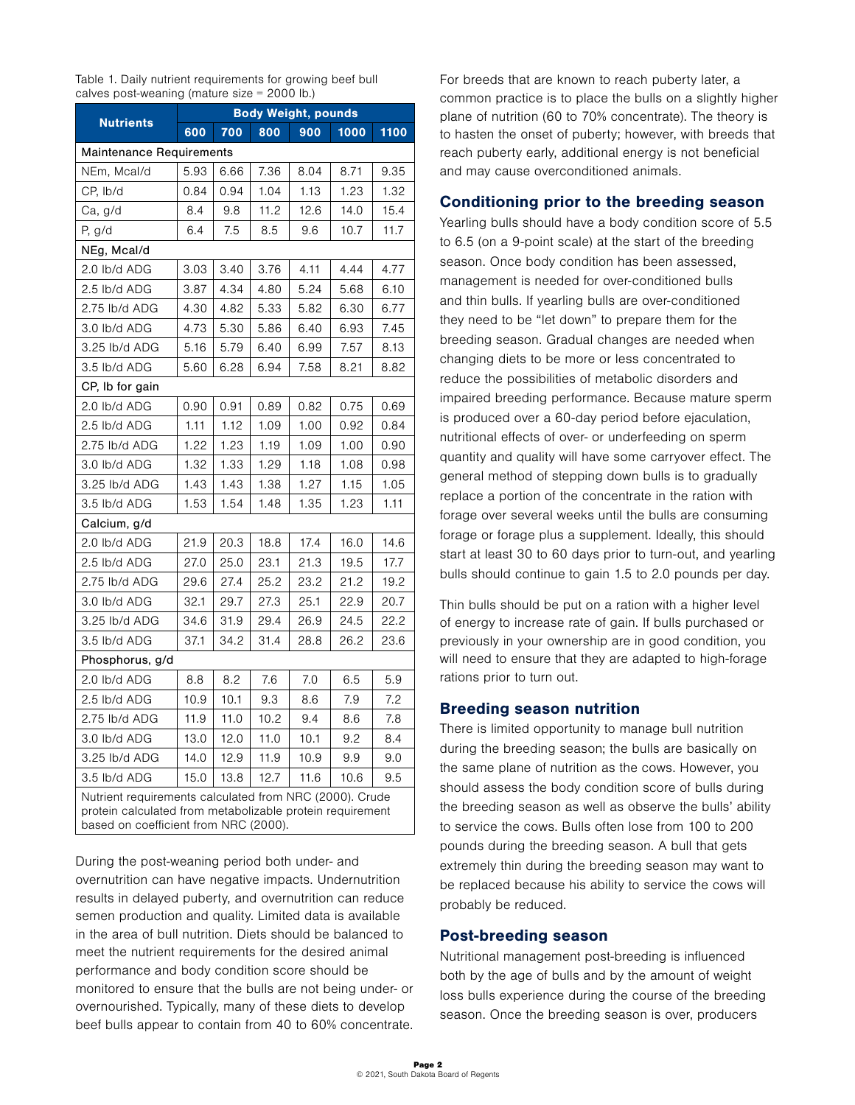Table 1. Daily nutrient requirements for growing beef bull calves post-weaning (mature size = 2000 lb.)

|                                                         | <b>Body Weight, pounds</b> |      |      |      |      |      |  |  |  |  |  |
|---------------------------------------------------------|----------------------------|------|------|------|------|------|--|--|--|--|--|
| <b>Nutrients</b>                                        | 600                        | 700  | 800  | 900  | 1000 | 1100 |  |  |  |  |  |
| <b>Maintenance Requirements</b>                         |                            |      |      |      |      |      |  |  |  |  |  |
| NEm, Mcal/d                                             | 5.93                       | 6.66 | 7.36 | 8.04 | 8.71 | 9.35 |  |  |  |  |  |
| CP, Ib/d                                                | 0.84                       | 0.94 | 1.04 | 1.13 | 1.23 | 1.32 |  |  |  |  |  |
| Ca, g/d                                                 | 8.4                        | 9.8  | 11.2 | 12.6 | 14.0 | 15.4 |  |  |  |  |  |
| P, g/d                                                  | 6.4                        | 7.5  | 8.5  | 9.6  | 10.7 | 11.7 |  |  |  |  |  |
| NEg, Mcal/d                                             |                            |      |      |      |      |      |  |  |  |  |  |
| 2.0 lb/d ADG                                            | 3.03                       | 3.40 | 3.76 | 4.11 | 4.44 | 4.77 |  |  |  |  |  |
| 2.5 lb/d ADG                                            | 3.87                       | 4.34 | 4.80 | 5.24 | 5.68 | 6.10 |  |  |  |  |  |
| 2.75 lb/d ADG                                           | 4.30                       | 4.82 | 5.33 | 5.82 | 6.30 | 6.77 |  |  |  |  |  |
| 3.0 lb/d ADG                                            | 4.73                       | 5.30 | 5.86 | 6.40 | 6.93 | 7.45 |  |  |  |  |  |
| 3.25 lb/d ADG                                           | 5.16                       | 5.79 | 6.40 | 6.99 | 7.57 | 8.13 |  |  |  |  |  |
| 3.5 lb/d ADG                                            | 5.60                       | 6.28 | 6.94 | 7.58 | 8.21 | 8.82 |  |  |  |  |  |
| CP, Ib for gain                                         |                            |      |      |      |      |      |  |  |  |  |  |
| 2.0 lb/d ADG                                            | 0.90                       | 0.91 | 0.89 | 0.82 | 0.75 | 0.69 |  |  |  |  |  |
| 2.5 lb/d ADG                                            | 1.11                       | 1.12 | 1.09 | 1.00 | 0.92 | 0.84 |  |  |  |  |  |
| 2.75 lb/d ADG                                           | 1.22                       | 1.23 | 1.19 | 1.09 | 1.00 | 0.90 |  |  |  |  |  |
| 3.0 lb/d ADG                                            | 1.32                       | 1.33 | 1.29 | 1.18 | 1.08 | 0.98 |  |  |  |  |  |
| 3.25 lb/d ADG                                           | 1.43                       | 1.43 | 1.38 | 1.27 | 1.15 | 1.05 |  |  |  |  |  |
| 3.5 lb/d ADG                                            | 1.53                       | 1.54 | 1.48 | 1.35 | 1.23 | 1.11 |  |  |  |  |  |
| Calcium, g/d                                            |                            |      |      |      |      |      |  |  |  |  |  |
| 2.0 lb/d ADG                                            | 21.9                       | 20.3 | 18.8 | 17.4 | 16.0 | 14.6 |  |  |  |  |  |
| 2.5 lb/d ADG                                            | 27.0                       | 25.0 | 23.1 | 21.3 | 19.5 | 17.7 |  |  |  |  |  |
| 2.75 lb/d ADG                                           | 29.6                       | 27.4 | 25.2 | 23.2 | 21.2 | 19.2 |  |  |  |  |  |
| 3.0 lb/d ADG                                            | 32.1                       | 29.7 | 27.3 | 25.1 | 22.9 | 20.7 |  |  |  |  |  |
| 3.25 lb/d ADG                                           | 34.6                       | 31.9 | 29.4 | 26.9 | 24.5 | 22.2 |  |  |  |  |  |
| 3.5 lb/d ADG                                            | 37.1                       | 34.2 | 31.4 | 28.8 | 26.2 | 23.6 |  |  |  |  |  |
| Phosphorus, g/d                                         |                            |      |      |      |      |      |  |  |  |  |  |
| 2.0 lb/d ADG                                            | 8.8                        | 8.2  | 7.6  | 7.0  | 6.5  | 5.9  |  |  |  |  |  |
| 2.5 lb/d ADG                                            | 10.9                       | 10.1 | 9.3  | 8.6  | 7.9  | 7.2  |  |  |  |  |  |
| 2.75 lb/d ADG                                           | 11.9                       | 11.0 | 10.2 | 9.4  | 8.6  | 7.8  |  |  |  |  |  |
| 3.0 lb/d ADG                                            | 13.0                       | 12.0 | 11.0 | 10.1 | 9.2  | 8.4  |  |  |  |  |  |
| 3.25 lb/d ADG                                           | 14.0                       | 12.9 | 11.9 | 10.9 | 9.9  | 9.0  |  |  |  |  |  |
| 3.5 lb/d ADG                                            | 15.0                       | 13.8 | 12.7 | 11.6 | 10.6 | 9.5  |  |  |  |  |  |
| Nutrient requirements calculated from NRC (2000). Crude |                            |      |      |      |      |      |  |  |  |  |  |

protein calculated from metabolizable protein requirement based on coefficient from NRC (2000).

During the post-weaning period both under- and overnutrition can have negative impacts. Undernutrition results in delayed puberty, and overnutrition can reduce semen production and quality. Limited data is available in the area of bull nutrition. Diets should be balanced to meet the nutrient requirements for the desired animal performance and body condition score should be monitored to ensure that the bulls are not being under- or overnourished. Typically, many of these diets to develop beef bulls appear to contain from 40 to 60% concentrate. For breeds that are known to reach puberty later, a common practice is to place the bulls on a slightly higher plane of nutrition (60 to 70% concentrate). The theory is to hasten the onset of puberty; however, with breeds that reach puberty early, additional energy is not beneficial and may cause overconditioned animals.

#### Conditioning prior to the breeding season

Yearling bulls should have a body condition score of 5.5 to 6.5 (on a 9-point scale) at the start of the breeding season. Once body condition has been assessed, management is needed for over-conditioned bulls and thin bulls. If yearling bulls are over-conditioned they need to be "let down" to prepare them for the breeding season. Gradual changes are needed when changing diets to be more or less concentrated to reduce the possibilities of metabolic disorders and impaired breeding performance. Because mature sperm is produced over a 60-day period before ejaculation, nutritional effects of over- or underfeeding on sperm quantity and quality will have some carryover effect. The general method of stepping down bulls is to gradually replace a portion of the concentrate in the ration with forage over several weeks until the bulls are consuming forage or forage plus a supplement. Ideally, this should start at least 30 to 60 days prior to turn-out, and yearling bulls should continue to gain 1.5 to 2.0 pounds per day.

Thin bulls should be put on a ration with a higher level of energy to increase rate of gain. If bulls purchased or previously in your ownership are in good condition, you will need to ensure that they are adapted to high-forage rations prior to turn out.

#### Breeding season nutrition

There is limited opportunity to manage bull nutrition during the breeding season; the bulls are basically on the same plane of nutrition as the cows. However, you should assess the body condition score of bulls during the breeding season as well as observe the bulls' ability to service the cows. Bulls often lose from 100 to 200 pounds during the breeding season. A bull that gets extremely thin during the breeding season may want to be replaced because his ability to service the cows will probably be reduced.

#### Post-breeding season

Nutritional management post-breeding is influenced both by the age of bulls and by the amount of weight loss bulls experience during the course of the breeding season. Once the breeding season is over, producers